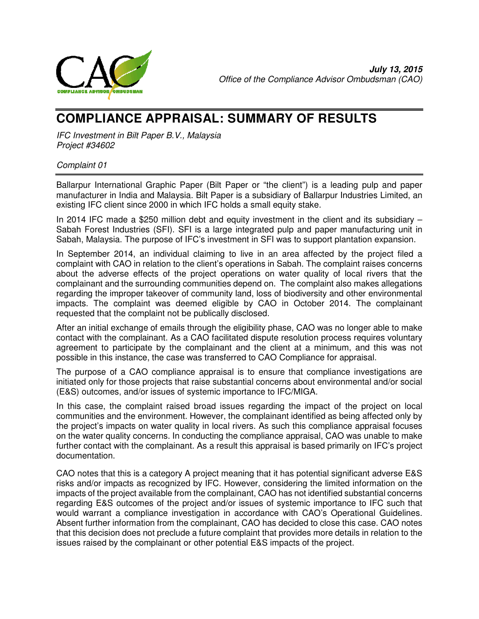

# **COMPLIANCE APPRAISAL: SUMMARY OF RESULTS**

IFC Investment in Bilt Paper B.V., Malaysia Project #34602

#### Complaint 01

Ballarpur International Graphic Paper (Bilt Paper or "the client") is a leading pulp and paper manufacturer in India and Malaysia. Bilt Paper is a subsidiary of Ballarpur Industries Limited, an existing IFC client since 2000 in which IFC holds a small equity stake.

In 2014 IFC made a \$250 million debt and equity investment in the client and its subsidiary – Sabah Forest Industries (SFI). SFI is a large integrated pulp and paper manufacturing unit in Sabah, Malaysia. The purpose of IFC's investment in SFI was to support plantation expansion.

In September 2014, an individual claiming to live in an area affected by the project filed a complaint with CAO in relation to the client's operations in Sabah. The complaint raises concerns about the adverse effects of the project operations on water quality of local rivers that the complainant and the surrounding communities depend on. The complaint also makes allegations regarding the improper takeover of community land, loss of biodiversity and other environmental impacts. The complaint was deemed eligible by CAO in October 2014. The complainant requested that the complaint not be publically disclosed.

After an initial exchange of emails through the eligibility phase, CAO was no longer able to make contact with the complainant. As a CAO facilitated dispute resolution process requires voluntary agreement to participate by the complainant and the client at a minimum, and this was not possible in this instance, the case was transferred to CAO Compliance for appraisal.

The purpose of a CAO compliance appraisal is to ensure that compliance investigations are initiated only for those projects that raise substantial concerns about environmental and/or social (E&S) outcomes, and/or issues of systemic importance to IFC/MIGA.

In this case, the complaint raised broad issues regarding the impact of the project on local communities and the environment. However, the complainant identified as being affected only by the project's impacts on water quality in local rivers. As such this compliance appraisal focuses on the water quality concerns. In conducting the compliance appraisal, CAO was unable to make further contact with the complainant. As a result this appraisal is based primarily on IFC's project documentation.

CAO notes that this is a category A project meaning that it has potential significant adverse E&S risks and/or impacts as recognized by IFC. However, considering the limited information on the impacts of the project available from the complainant, CAO has not identified substantial concerns regarding E&S outcomes of the project and/or issues of systemic importance to IFC such that would warrant a compliance investigation in accordance with CAO's Operational Guidelines. Absent further information from the complainant, CAO has decided to close this case. CAO notes that this decision does not preclude a future complaint that provides more details in relation to the issues raised by the complainant or other potential E&S impacts of the project.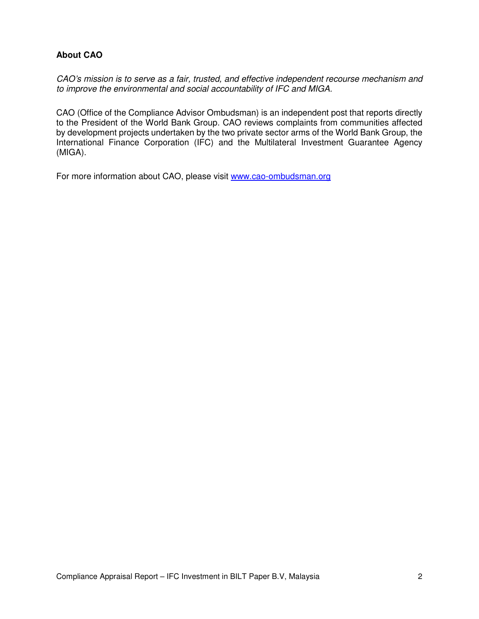### **About CAO**

CAO's mission is to serve as a fair, trusted, and effective independent recourse mechanism and to improve the environmental and social accountability of IFC and MIGA.

CAO (Office of the Compliance Advisor Ombudsman) is an independent post that reports directly to the President of the World Bank Group. CAO reviews complaints from communities affected by development projects undertaken by the two private sector arms of the World Bank Group, the International Finance Corporation (IFC) and the Multilateral Investment Guarantee Agency (MIGA).

For more information about CAO, please visit www.cao-ombudsman.org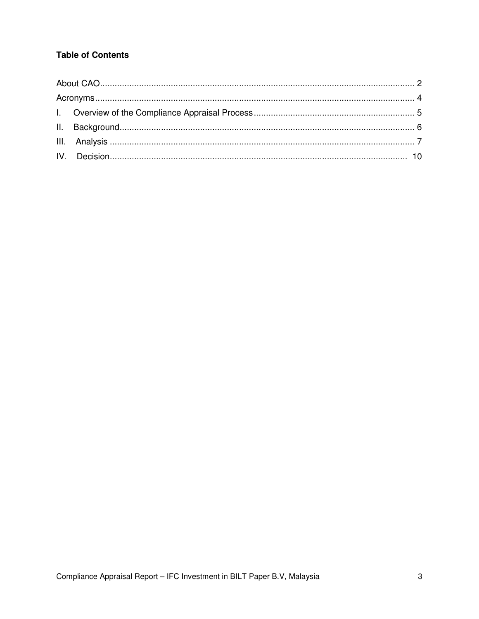# **Table of Contents**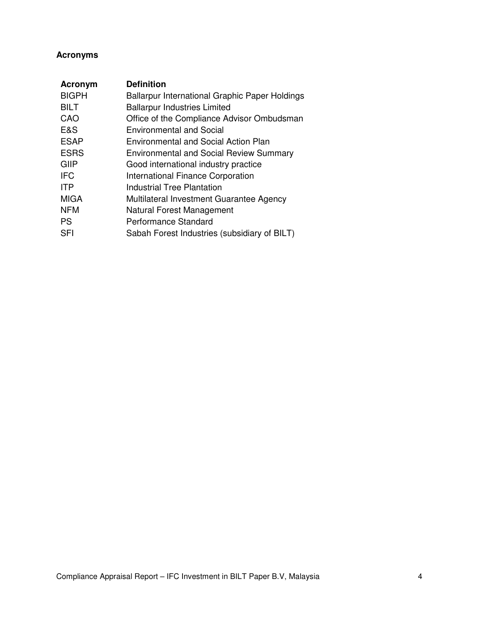# **Acronyms**

| <b>Acronym</b> | <b>Definition</b>                                     |
|----------------|-------------------------------------------------------|
| <b>BIGPH</b>   | <b>Ballarpur International Graphic Paper Holdings</b> |
| <b>BILT</b>    | <b>Ballarpur Industries Limited</b>                   |
| CAO            | Office of the Compliance Advisor Ombudsman            |
| E&S            | <b>Environmental and Social</b>                       |
| <b>ESAP</b>    | Environmental and Social Action Plan                  |
| <b>ESRS</b>    | <b>Environmental and Social Review Summary</b>        |
| GIIP           | Good international industry practice                  |
| <b>IFC</b>     | <b>International Finance Corporation</b>              |
| <b>ITP</b>     | Industrial Tree Plantation                            |
| <b>MIGA</b>    | Multilateral Investment Guarantee Agency              |
| <b>NFM</b>     | Natural Forest Management                             |
| <b>PS</b>      | Performance Standard                                  |
| <b>SFI</b>     | Sabah Forest Industries (subsidiary of BILT)          |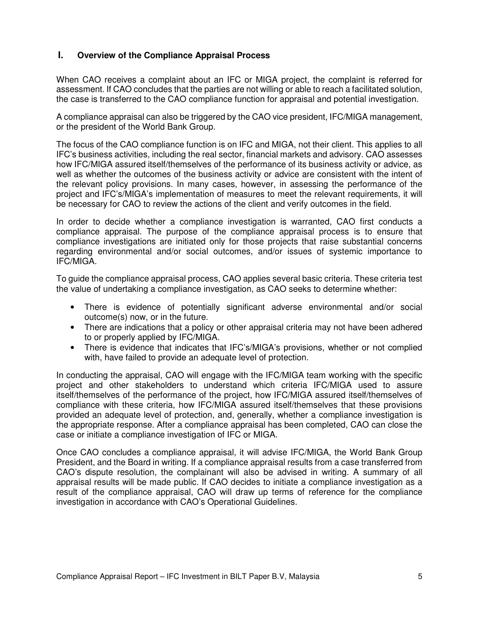#### **I. Overview of the Compliance Appraisal Process**

When CAO receives a complaint about an IFC or MIGA project, the complaint is referred for assessment. If CAO concludes that the parties are not willing or able to reach a facilitated solution, the case is transferred to the CAO compliance function for appraisal and potential investigation.

A compliance appraisal can also be triggered by the CAO vice president, IFC/MIGA management, or the president of the World Bank Group.

The focus of the CAO compliance function is on IFC and MIGA, not their client. This applies to all IFC's business activities, including the real sector, financial markets and advisory. CAO assesses how IFC/MIGA assured itself/themselves of the performance of its business activity or advice, as well as whether the outcomes of the business activity or advice are consistent with the intent of the relevant policy provisions. In many cases, however, in assessing the performance of the project and IFC's/MIGA's implementation of measures to meet the relevant requirements, it will be necessary for CAO to review the actions of the client and verify outcomes in the field.

In order to decide whether a compliance investigation is warranted, CAO first conducts a compliance appraisal. The purpose of the compliance appraisal process is to ensure that compliance investigations are initiated only for those projects that raise substantial concerns regarding environmental and/or social outcomes, and/or issues of systemic importance to IFC/MIGA.

To guide the compliance appraisal process, CAO applies several basic criteria. These criteria test the value of undertaking a compliance investigation, as CAO seeks to determine whether:

- There is evidence of potentially significant adverse environmental and/or social outcome(s) now, or in the future.
- There are indications that a policy or other appraisal criteria may not have been adhered to or properly applied by IFC/MIGA.
- There is evidence that indicates that IFC's/MIGA's provisions, whether or not complied with, have failed to provide an adequate level of protection.

In conducting the appraisal, CAO will engage with the IFC/MIGA team working with the specific project and other stakeholders to understand which criteria IFC/MIGA used to assure itself/themselves of the performance of the project, how IFC/MIGA assured itself/themselves of compliance with these criteria, how IFC/MIGA assured itself/themselves that these provisions provided an adequate level of protection, and, generally, whether a compliance investigation is the appropriate response. After a compliance appraisal has been completed, CAO can close the case or initiate a compliance investigation of IFC or MIGA.

Once CAO concludes a compliance appraisal, it will advise IFC/MIGA, the World Bank Group President, and the Board in writing. If a compliance appraisal results from a case transferred from CAO's dispute resolution, the complainant will also be advised in writing. A summary of all appraisal results will be made public. If CAO decides to initiate a compliance investigation as a result of the compliance appraisal, CAO will draw up terms of reference for the compliance investigation in accordance with CAO's Operational Guidelines.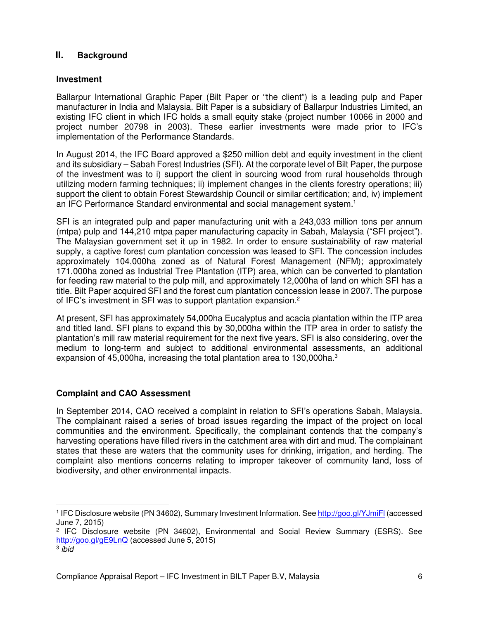#### **II. Background**

#### **Investment**

Ballarpur International Graphic Paper (Bilt Paper or "the client") is a leading pulp and Paper manufacturer in India and Malaysia. Bilt Paper is a subsidiary of Ballarpur Industries Limited, an existing IFC client in which IFC holds a small equity stake (project number 10066 in 2000 and project number 20798 in 2003). These earlier investments were made prior to IFC's implementation of the Performance Standards.

In August 2014, the IFC Board approved a \$250 million debt and equity investment in the client and its subsidiary – Sabah Forest Industries (SFI). At the corporate level of Bilt Paper, the purpose of the investment was to i) support the client in sourcing wood from rural households through utilizing modern farming techniques; ii) implement changes in the clients forestry operations; iii) support the client to obtain Forest Stewardship Council or similar certification; and, iv) implement an IFC Performance Standard environmental and social management system.<sup>1</sup>

SFI is an integrated pulp and paper manufacturing unit with a 243,033 million tons per annum (mtpa) pulp and 144,210 mtpa paper manufacturing capacity in Sabah, Malaysia ("SFI project"). The Malaysian government set it up in 1982. In order to ensure sustainability of raw material supply, a captive forest cum plantation concession was leased to SFI. The concession includes approximately 104,000ha zoned as of Natural Forest Management (NFM); approximately 171,000ha zoned as Industrial Tree Plantation (ITP) area, which can be converted to plantation for feeding raw material to the pulp mill, and approximately 12,000ha of land on which SFI has a title. Bilt Paper acquired SFI and the forest cum plantation concession lease in 2007. The purpose of IFC's investment in SFI was to support plantation expansion.<sup>2</sup>

At present, SFI has approximately 54,000ha Eucalyptus and acacia plantation within the ITP area and titled land. SFI plans to expand this by 30,000ha within the ITP area in order to satisfy the plantation's mill raw material requirement for the next five years. SFI is also considering, over the medium to long-term and subject to additional environmental assessments, an additional expansion of 45,000ha, increasing the total plantation area to 130,000ha.<sup>3</sup>

## **Complaint and CAO Assessment**

In September 2014, CAO received a complaint in relation to SFI's operations Sabah, Malaysia. The complainant raised a series of broad issues regarding the impact of the project on local communities and the environment. Specifically, the complainant contends that the company's harvesting operations have filled rivers in the catchment area with dirt and mud. The complainant states that these are waters that the community uses for drinking, irrigation, and herding. The complaint also mentions concerns relating to improper takeover of community land, loss of biodiversity, and other environmental impacts.

<sup>-</sup><sup>1</sup> IFC Disclosure website (PN 34602), Summary Investment Information. See http://goo.gl/YJmiFl (accessed June 7, 2015)

<sup>2</sup> IFC Disclosure website (PN 34602), Environmental and Social Review Summary (ESRS). See http://goo.gl/gE9LnQ (accessed June 5, 2015) <sup>3</sup> ibia

Compliance Appraisal Report – IFC Investment in BILT Paper B.V, Malaysia 6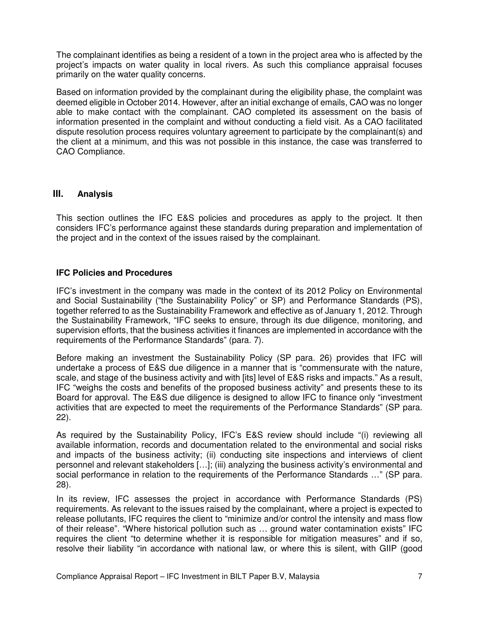The complainant identifies as being a resident of a town in the project area who is affected by the project's impacts on water quality in local rivers. As such this compliance appraisal focuses primarily on the water quality concerns.

Based on information provided by the complainant during the eligibility phase, the complaint was deemed eligible in October 2014. However, after an initial exchange of emails, CAO was no longer able to make contact with the complainant. CAO completed its assessment on the basis of information presented in the complaint and without conducting a field visit. As a CAO facilitated dispute resolution process requires voluntary agreement to participate by the complainant(s) and the client at a minimum, and this was not possible in this instance, the case was transferred to CAO Compliance.

#### **III. Analysis**

This section outlines the IFC E&S policies and procedures as apply to the project. It then considers IFC's performance against these standards during preparation and implementation of the project and in the context of the issues raised by the complainant.

#### **IFC Policies and Procedures**

IFC's investment in the company was made in the context of its 2012 Policy on Environmental and Social Sustainability ("the Sustainability Policy" or SP) and Performance Standards (PS), together referred to as the Sustainability Framework and effective as of January 1, 2012. Through the Sustainability Framework, "IFC seeks to ensure, through its due diligence, monitoring, and supervision efforts, that the business activities it finances are implemented in accordance with the requirements of the Performance Standards" (para. 7).

Before making an investment the Sustainability Policy (SP para. 26) provides that IFC will undertake a process of E&S due diligence in a manner that is "commensurate with the nature, scale, and stage of the business activity and with [its] level of E&S risks and impacts." As a result, IFC "weighs the costs and benefits of the proposed business activity" and presents these to its Board for approval. The E&S due diligence is designed to allow IFC to finance only "investment activities that are expected to meet the requirements of the Performance Standards" (SP para. 22).

As required by the Sustainability Policy, IFC's E&S review should include "(i) reviewing all available information, records and documentation related to the environmental and social risks and impacts of the business activity; (ii) conducting site inspections and interviews of client personnel and relevant stakeholders […]; (iii) analyzing the business activity's environmental and social performance in relation to the requirements of the Performance Standards …" (SP para. 28).

In its review, IFC assesses the project in accordance with Performance Standards (PS) requirements. As relevant to the issues raised by the complainant, where a project is expected to release pollutants, IFC requires the client to "minimize and/or control the intensity and mass flow of their release". "Where historical pollution such as … ground water contamination exists" IFC requires the client "to determine whether it is responsible for mitigation measures" and if so, resolve their liability "in accordance with national law, or where this is silent, with GIIP (good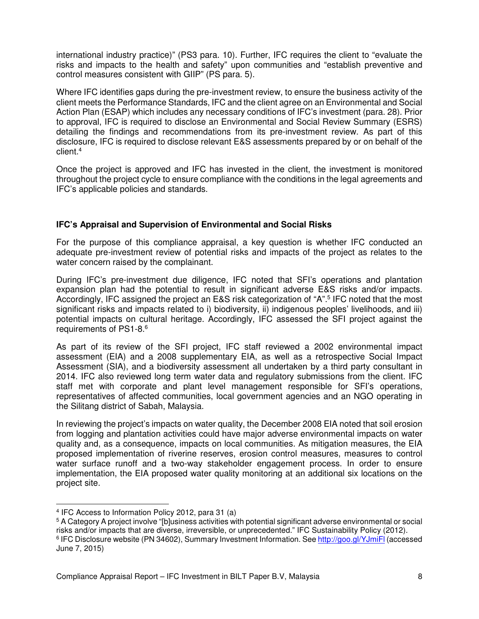international industry practice)" (PS3 para. 10). Further, IFC requires the client to "evaluate the risks and impacts to the health and safety" upon communities and "establish preventive and control measures consistent with GIIP" (PS para. 5).

Where IFC identifies gaps during the pre-investment review, to ensure the business activity of the client meets the Performance Standards, IFC and the client agree on an Environmental and Social Action Plan (ESAP) which includes any necessary conditions of IFC's investment (para. 28). Prior to approval, IFC is required to disclose an Environmental and Social Review Summary (ESRS) detailing the findings and recommendations from its pre-investment review. As part of this disclosure, IFC is required to disclose relevant E&S assessments prepared by or on behalf of the client.<sup>4</sup>

Once the project is approved and IFC has invested in the client, the investment is monitored throughout the project cycle to ensure compliance with the conditions in the legal agreements and IFC's applicable policies and standards.

#### **IFC's Appraisal and Supervision of Environmental and Social Risks**

For the purpose of this compliance appraisal, a key question is whether IFC conducted an adequate pre-investment review of potential risks and impacts of the project as relates to the water concern raised by the complainant.

During IFC's pre-investment due diligence, IFC noted that SFI's operations and plantation expansion plan had the potential to result in significant adverse E&S risks and/or impacts. Accordingly, IFC assigned the project an E&S risk categorization of "A".<sup>5</sup> IFC noted that the most significant risks and impacts related to i) biodiversity, ii) indigenous peoples' livelihoods, and iii) potential impacts on cultural heritage. Accordingly, IFC assessed the SFI project against the requirements of PS1-8.<sup>6</sup>

As part of its review of the SFI project, IFC staff reviewed a 2002 environmental impact assessment (EIA) and a 2008 supplementary EIA, as well as a retrospective Social Impact Assessment (SIA), and a biodiversity assessment all undertaken by a third party consultant in 2014. IFC also reviewed long term water data and regulatory submissions from the client. IFC staff met with corporate and plant level management responsible for SFI's operations, representatives of affected communities, local government agencies and an NGO operating in the Silitang district of Sabah, Malaysia.

In reviewing the project's impacts on water quality, the December 2008 EIA noted that soil erosion from logging and plantation activities could have major adverse environmental impacts on water quality and, as a consequence, impacts on local communities. As mitigation measures, the EIA proposed implementation of riverine reserves, erosion control measures, measures to control water surface runoff and a two-way stakeholder engagement process. In order to ensure implementation, the EIA proposed water quality monitoring at an additional six locations on the project site.

<sup>4</sup> IFC Access to Information Policy 2012, para 31 (a)

<sup>5</sup> A Category A project involve "[b]usiness activities with potential significant adverse environmental or social risks and/or impacts that are diverse, irreversible, or unprecedented." IFC Sustainability Policy (2012). <sup>6</sup> IFC Disclosure website (PN 34602), Summary Investment Information. See http://goo.gl/YJmiF<u>l</u> (accessed

June 7, 2015)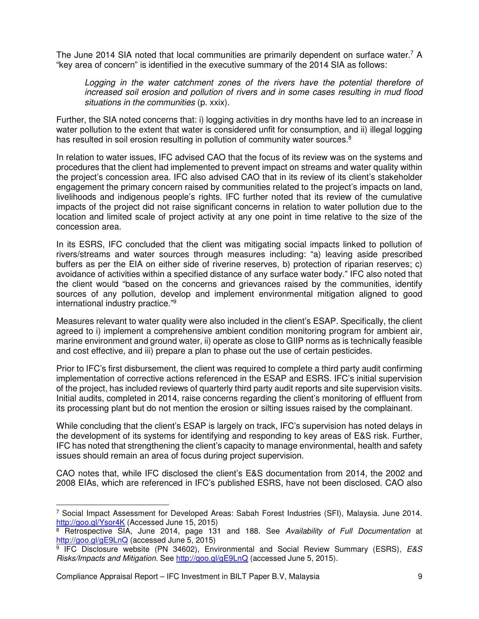The June 2014 SIA noted that local communities are primarily dependent on surface water.<sup>7</sup> A "key area of concern" is identified in the executive summary of the 2014 SIA as follows:

Logging in the water catchment zones of the rivers have the potential therefore of increased soil erosion and pollution of rivers and in some cases resulting in mud flood situations in the communities (p. xxix).

Further, the SIA noted concerns that: i) logging activities in dry months have led to an increase in water pollution to the extent that water is considered unfit for consumption, and ii) illegal logging has resulted in soil erosion resulting in pollution of community water sources.<sup>8</sup>

In relation to water issues, IFC advised CAO that the focus of its review was on the systems and procedures that the client had implemented to prevent impact on streams and water quality within the project's concession area. IFC also advised CAO that in its review of its client's stakeholder engagement the primary concern raised by communities related to the project's impacts on land, livelihoods and indigenous people's rights. IFC further noted that its review of the cumulative impacts of the project did not raise significant concerns in relation to water pollution due to the location and limited scale of project activity at any one point in time relative to the size of the concession area.

In its ESRS, IFC concluded that the client was mitigating social impacts linked to pollution of rivers/streams and water sources through measures including: "a) leaving aside prescribed buffers as per the EIA on either side of riverine reserves, b) protection of riparian reserves; c) avoidance of activities within a specified distance of any surface water body." IFC also noted that the client would "based on the concerns and grievances raised by the communities, identify sources of any pollution, develop and implement environmental mitigation aligned to good international industry practice."<sup>9</sup>

Measures relevant to water quality were also included in the client's ESAP. Specifically, the client agreed to i) implement a comprehensive ambient condition monitoring program for ambient air, marine environment and ground water, ii) operate as close to GIIP norms as is technically feasible and cost effective, and iii) prepare a plan to phase out the use of certain pesticides.

Prior to IFC's first disbursement, the client was required to complete a third party audit confirming implementation of corrective actions referenced in the ESAP and ESRS. IFC's initial supervision of the project, has included reviews of quarterly third party audit reports and site supervision visits. Initial audits, completed in 2014, raise concerns regarding the client's monitoring of effluent from its processing plant but do not mention the erosion or silting issues raised by the complainant.

While concluding that the client's ESAP is largely on track, IFC's supervision has noted delays in the development of its systems for identifying and responding to key areas of E&S risk. Further, IFC has noted that strengthening the client's capacity to manage environmental, health and safety issues should remain an area of focus during project supervision.

CAO notes that, while IFC disclosed the client's E&S documentation from 2014, the 2002 and 2008 EIAs, which are referenced in IFC's published ESRS, have not been disclosed. CAO also

Compliance Appraisal Report – IFC Investment in BILT Paper B.V, Malaysia 9

 $\overline{a}$ 7 Social Impact Assessment for Developed Areas: Sabah Forest Industries (SFI), Malaysia. June 2014. http://goo.gl/Ysor4K (Accessed June 15, 2015)

<sup>&</sup>lt;sup>8</sup> Retrospective SIA, June 2014, page 131 and 188. See Availability of Full Documentation at http://goo.gl/gE9LnQ (accessed June 5, 2015)

<sup>&</sup>lt;sup>9</sup> IFC Disclosure website (PN 34602), Environmental and Social Review Summary (ESRS), E&S Risks/Impacts and Mitigation. See http://goo.gl/gE9LnQ (accessed June 5, 2015).